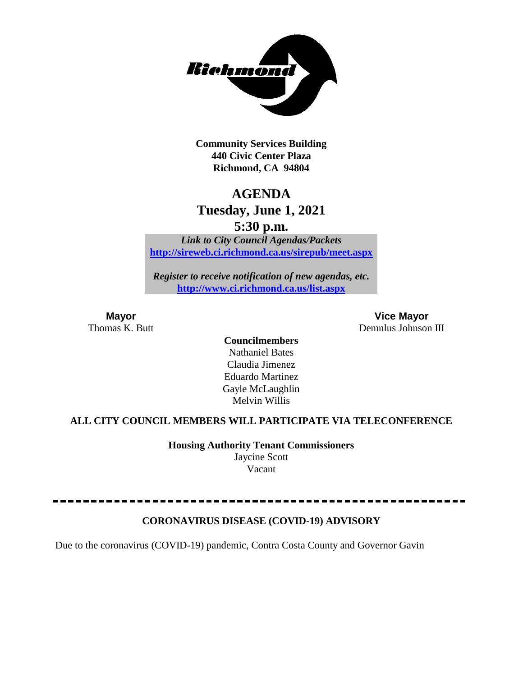

**Community Services Building 440 Civic Center Plaza Richmond, CA 94804**

# **AGENDA**

# **Tuesday, June 1, 2021**

**5:30 p.m.**

*Link to City Council Agendas/Packets* **<http://sireweb.ci.richmond.ca.us/sirepub/meet.aspx>**

*Register to receive notification of new agendas, etc.* **<http://www.ci.richmond.ca.us/list.aspx>**

**Mayor Vice Mayor** Thomas K. Butt Demnlus Johnson III

> **Councilmembers** Nathaniel Bates Claudia Jimenez Eduardo Martinez Gayle McLaughlin Melvin Willis

# **ALL CITY COUNCIL MEMBERS WILL PARTICIPATE VIA TELECONFERENCE**

**Housing Authority Tenant Commissioners** Jaycine Scott Vacant

# **CORONAVIRUS DISEASE (COVID-19) ADVISORY**

Due to the coronavirus (COVID-19) pandemic, Contra Costa County and Governor Gavin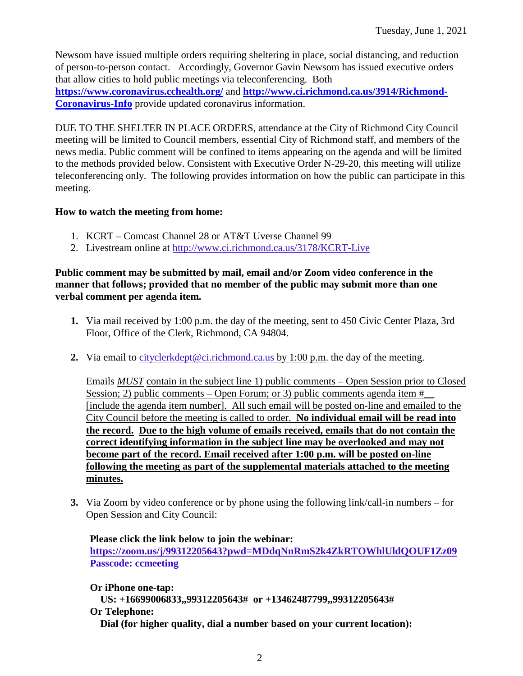Newsom have issued multiple orders requiring sheltering in place, social distancing, and reduction of person-to-person contact. Accordingly, Governor Gavin Newsom has issued executive orders that allow cities to hold public meetings via teleconferencing. Both **<https://www.coronavirus.cchealth.org/>** and **[http://www.ci.richmond.ca.us/3914/Richmond-](http://www.ci.richmond.ca.us/3914/Richmond-Coronavirus-Info)[Coronavirus-Info](http://www.ci.richmond.ca.us/3914/Richmond-Coronavirus-Info)** provide updated coronavirus information.

DUE TO THE SHELTER IN PLACE ORDERS, attendance at the City of Richmond City Council meeting will be limited to Council members, essential City of Richmond staff, and members of the news media. Public comment will be confined to items appearing on the agenda and will be limited to the methods provided below. Consistent with Executive Order N-29-20, this meeting will utilize teleconferencing only. The following provides information on how the public can participate in this meeting.

#### **How to watch the meeting from home:**

- 1. KCRT Comcast Channel 28 or AT&T Uverse Channel 99
- 2. Livestream online at<http://www.ci.richmond.ca.us/3178/KCRT-Live>

# **Public comment may be submitted by mail, email and/or Zoom video conference in the manner that follows; provided that no member of the public may submit more than one verbal comment per agenda item.**

- **1.** Via mail received by 1:00 p.m. the day of the meeting, sent to 450 Civic Center Plaza, 3rd Floor, Office of the Clerk, Richmond, CA 94804.
- **2.** Via email to [cityclerkdept@ci.richmond.ca.us](mailto:cityclerkdept@ci.richmond.ca.us) by 1:00 p.m. the day of the meeting.

Emails *MUST* contain in the subject line 1) public comments – Open Session prior to Closed Session; 2) public comments – Open Forum; or 3) public comments agenda item  $#$ [include the agenda item number]. All such email will be posted on-line and emailed to the City Council before the meeting is called to order. **No individual email will be read into the record. Due to the high volume of emails received, emails that do not contain the correct identifying information in the subject line may be overlooked and may not become part of the record. Email received after 1:00 p.m. will be posted on-line following the meeting as part of the supplemental materials attached to the meeting minutes.**

**3.** Via Zoom by video conference or by phone using the following link/call-in numbers – for Open Session and City Council:

**Please click the link below to join the webinar: <https://zoom.us/j/99312205643?pwd=MDdqNnRmS2k4ZkRTOWhlUldQOUF1Zz09> Passcode: ccmeeting**

**Or iPhone one-tap: US: +16699006833,,99312205643# or +13462487799,,99312205643# Or Telephone: Dial (for higher quality, dial a number based on your current location):**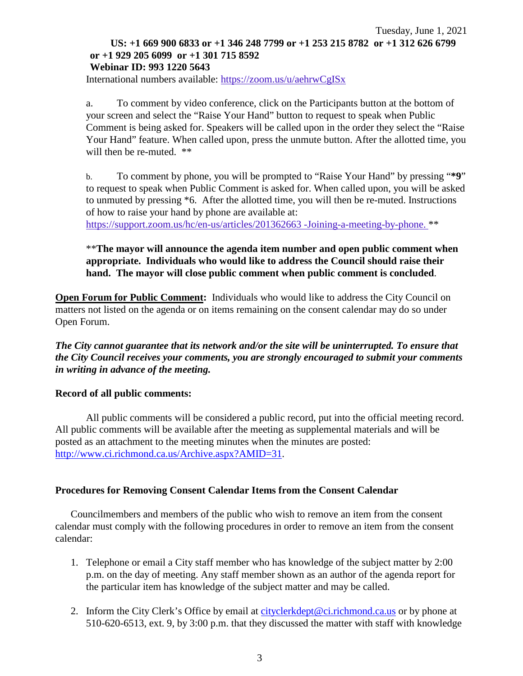#### Tuesday, June 1, 2021 **US: +1 669 900 6833 or +1 346 248 7799 or +1 253 215 8782 or +1 312 626 6799 or +1 929 205 6099 or +1 301 715 8592 Webinar ID: 993 1220 5643**

International numbers available: <https://zoom.us/u/aehrwCgISx>

a. To comment by video conference, click on the Participants button at the bottom of your screen and select the "Raise Your Hand" button to request to speak when Public Comment is being asked for. Speakers will be called upon in the order they select the "Raise Your Hand" feature. When called upon, press the unmute button. After the allotted time, you will then be re-muted.  $**$ 

b. To comment by phone, you will be prompted to "Raise Your Hand" by pressing "**\*9**" to request to speak when Public Comment is asked for. When called upon, you will be asked to unmuted by pressing \*6. After the allotted time, you will then be re-muted. Instructions of how to raise your hand by phone are available at:

[https://support.zoom.us/hc/en-us/articles/201362663 -Joining-a-meeting-by-phone.](https://support.zoom.us/hc/en-us/articles/201362663) \*\*

# \*\***The mayor will announce the agenda item number and open public comment when appropriate. Individuals who would like to address the Council should raise their hand. The mayor will close public comment when public comment is concluded**.

**Open Forum for Public Comment:** Individuals who would like to address the City Council on matters not listed on the agenda or on items remaining on the consent calendar may do so under Open Forum.

*The City cannot guarantee that its network and/or the site will be uninterrupted. To ensure that the City Council receives your comments, you are strongly encouraged to submit your comments in writing in advance of the meeting.* 

#### **Record of all public comments:**

All public comments will be considered a public record, put into the official meeting record. All public comments will be available after the meeting as supplemental materials and will be posted as an attachment to the meeting minutes when the minutes are posted: [http://www.ci.richmond.ca.us/Archive.aspx?AMID=31.](http://www.ci.richmond.ca.us/Archive.aspx?AMID=31)

# **Procedures for Removing Consent Calendar Items from the Consent Calendar**

Councilmembers and members of the public who wish to remove an item from the consent calendar must comply with the following procedures in order to remove an item from the consent calendar:

- 1. Telephone or email a City staff member who has knowledge of the subject matter by 2:00 p.m. on the day of meeting. Any staff member shown as an author of the agenda report for the particular item has knowledge of the subject matter and may be called.
- 2. Inform the City Clerk's Office by email at [cityclerkdept@ci.richmond.ca.us](mailto:cityclerkdept@ci.richmond.ca.us) or by phone at 510-620-6513, ext. 9, by 3:00 p.m. that they discussed the matter with staff with knowledge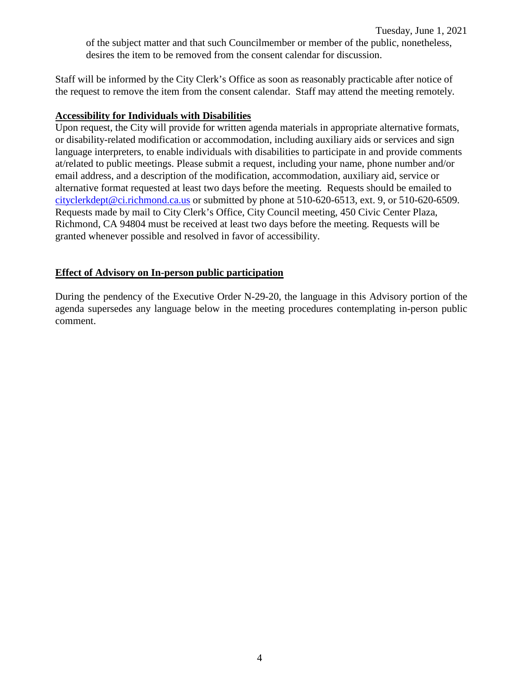Tuesday, June 1, 2021 of the subject matter and that such Councilmember or member of the public, nonetheless, desires the item to be removed from the consent calendar for discussion.

Staff will be informed by the City Clerk's Office as soon as reasonably practicable after notice of the request to remove the item from the consent calendar. Staff may attend the meeting remotely.

### **Accessibility for Individuals with Disabilities**

Upon request, the City will provide for written agenda materials in appropriate alternative formats, or disability-related modification or accommodation, including auxiliary aids or services and sign language interpreters, to enable individuals with disabilities to participate in and provide comments at/related to public meetings. Please submit a request, including your name, phone number and/or email address, and a description of the modification, accommodation, auxiliary aid, service or alternative format requested at least two days before the meeting. Requests should be emailed to [cityclerkdept@ci.richmond.ca.us](mailto:cityclerkdept@ci.richmond.ca.us) or submitted by phone at 510-620-6513, ext. 9, or 510-620-6509. Requests made by mail to City Clerk's Office, City Council meeting, 450 Civic Center Plaza, Richmond, CA 94804 must be received at least two days before the meeting. Requests will be granted whenever possible and resolved in favor of accessibility.

# **Effect of Advisory on In-person public participation**

During the pendency of the Executive Order N-29-20, the language in this Advisory portion of the agenda supersedes any language below in the meeting procedures contemplating in-person public comment.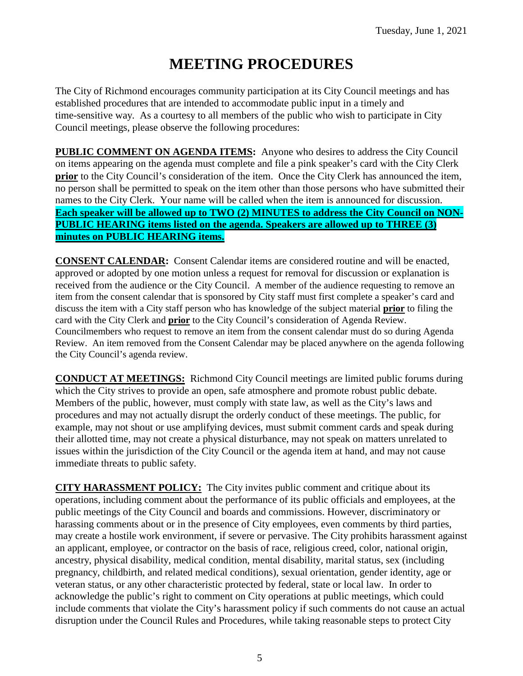# **MEETING PROCEDURES**

The City of Richmond encourages community participation at its City Council meetings and has established procedures that are intended to accommodate public input in a timely and time-sensitive way. As a courtesy to all members of the public who wish to participate in City Council meetings, please observe the following procedures:

**PUBLIC COMMENT ON AGENDA ITEMS:** Anyone who desires to address the City Council on items appearing on the agenda must complete and file a pink speaker's card with the City Clerk **prior** to the City Council's consideration of the item. Once the City Clerk has announced the item, no person shall be permitted to speak on the item other than those persons who have submitted their names to the City Clerk. Your name will be called when the item is announced for discussion. **Each speaker will be allowed up to TWO (2) MINUTES to address the City Council on NON-PUBLIC HEARING items listed on the agenda. Speakers are allowed up to THREE (3) minutes on PUBLIC HEARING items.**

**CONSENT CALENDAR:** Consent Calendar items are considered routine and will be enacted, approved or adopted by one motion unless a request for removal for discussion or explanation is received from the audience or the City Council. A member of the audience requesting to remove an item from the consent calendar that is sponsored by City staff must first complete a speaker's card and discuss the item with a City staff person who has knowledge of the subject material **prior** to filing the card with the City Clerk and **prior** to the City Council's consideration of Agenda Review. Councilmembers who request to remove an item from the consent calendar must do so during Agenda Review. An item removed from the Consent Calendar may be placed anywhere on the agenda following the City Council's agenda review.

**CONDUCT AT MEETINGS:** Richmond City Council meetings are limited public forums during which the City strives to provide an open, safe atmosphere and promote robust public debate. Members of the public, however, must comply with state law, as well as the City's laws and procedures and may not actually disrupt the orderly conduct of these meetings. The public, for example, may not shout or use amplifying devices, must submit comment cards and speak during their allotted time, may not create a physical disturbance, may not speak on matters unrelated to issues within the jurisdiction of the City Council or the agenda item at hand, and may not cause immediate threats to public safety.

**CITY HARASSMENT POLICY:** The City invites public comment and critique about its operations, including comment about the performance of its public officials and employees, at the public meetings of the City Council and boards and commissions. However, discriminatory or harassing comments about or in the presence of City employees, even comments by third parties, may create a hostile work environment, if severe or pervasive. The City prohibits harassment against an applicant, employee, or contractor on the basis of race, religious creed, color, national origin, ancestry, physical disability, medical condition, mental disability, marital status, sex (including pregnancy, childbirth, and related medical conditions), sexual orientation, gender identity, age or veteran status, or any other characteristic protected by federal, state or local law. In order to acknowledge the public's right to comment on City operations at public meetings, which could include comments that violate the City's harassment policy if such comments do not cause an actual disruption under the Council Rules and Procedures, while taking reasonable steps to protect City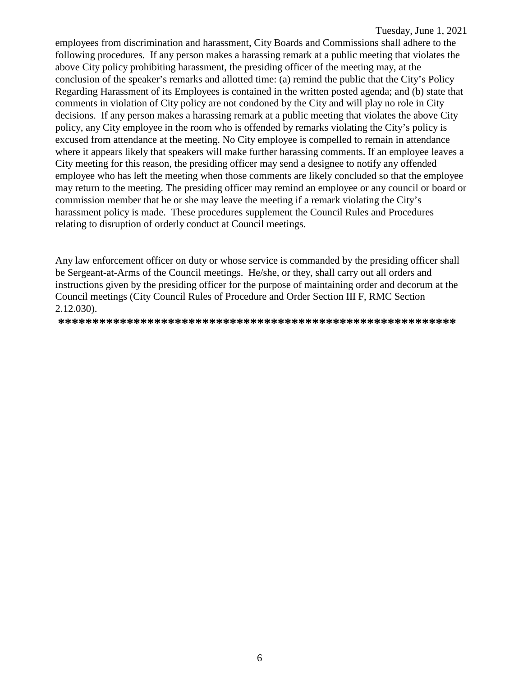employees from discrimination and harassment, City Boards and Commissions shall adhere to the following procedures. If any person makes a harassing remark at a public meeting that violates the above City policy prohibiting harassment, the presiding officer of the meeting may, at the conclusion of the speaker's remarks and allotted time: (a) remind the public that the City's Policy Regarding Harassment of its Employees is contained in the written posted agenda; and (b) state that comments in violation of City policy are not condoned by the City and will play no role in City decisions. If any person makes a harassing remark at a public meeting that violates the above City policy, any City employee in the room who is offended by remarks violating the City's policy is excused from attendance at the meeting. No City employee is compelled to remain in attendance where it appears likely that speakers will make further harassing comments. If an employee leaves a City meeting for this reason, the presiding officer may send a designee to notify any offended employee who has left the meeting when those comments are likely concluded so that the employee may return to the meeting. The presiding officer may remind an employee or any council or board or commission member that he or she may leave the meeting if a remark violating the City's harassment policy is made. These procedures supplement the Council Rules and Procedures relating to disruption of orderly conduct at Council meetings.

Any law enforcement officer on duty or whose service is commanded by the presiding officer shall be Sergeant-at-Arms of the Council meetings. He/she, or they, shall carry out all orders and instructions given by the presiding officer for the purpose of maintaining order and decorum at the Council meetings (City Council Rules of Procedure and Order Section III F, RMC Section 2.12.030).

**\*\*\*\*\*\*\*\*\*\*\*\*\*\*\*\*\*\*\*\*\*\*\*\*\*\*\*\*\*\*\*\*\*\*\*\*\*\*\*\*\*\*\*\*\*\*\*\*\*\*\*\*\*\*\*\*\*\***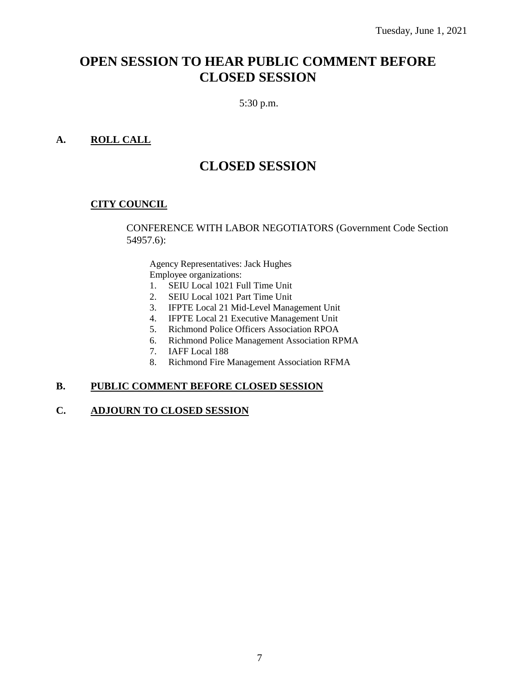# **OPEN SESSION TO HEAR PUBLIC COMMENT BEFORE CLOSED SESSION**

# 5:30 p.m.

# **A. ROLL CALL**

# **CLOSED SESSION**

# **CITY COUNCIL**

CONFERENCE WITH LABOR NEGOTIATORS (Government Code Section 54957.6):

Agency Representatives: Jack Hughes Employee organizations:

- 1. SEIU Local 1021 Full Time Unit
- 2. SEIU Local 1021 Part Time Unit
- 3. IFPTE Local 21 Mid-Level Management Unit
- 4. IFPTE Local 21 Executive Management Unit
- 5. Richmond Police Officers Association RPOA
- 6. Richmond Police Management Association RPMA
- 7. IAFF Local 188
- 8. Richmond Fire Management Association RFMA

#### **B. PUBLIC COMMENT BEFORE CLOSED SESSION**

# **C. ADJOURN TO CLOSED SESSION**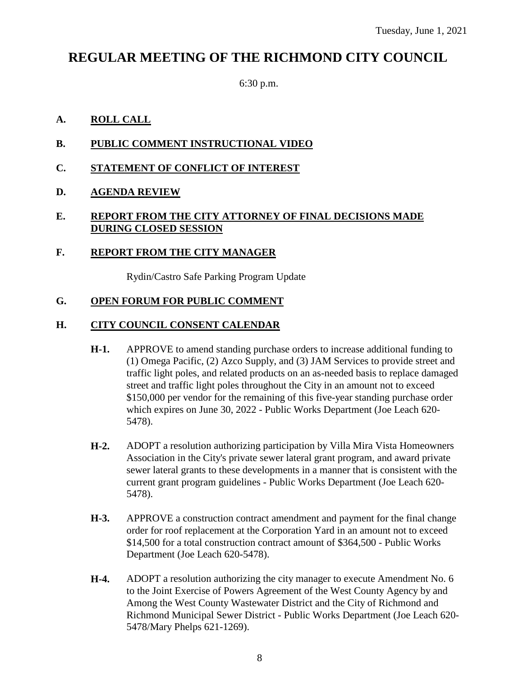# **REGULAR MEETING OF THE RICHMOND CITY COUNCIL**

6:30 p.m.

# **A. ROLL CALL**

- **B. PUBLIC COMMENT INSTRUCTIONAL VIDEO**
- **C. STATEMENT OF CONFLICT OF INTEREST**

# **D. AGENDA REVIEW**

# **E. REPORT FROM THE CITY ATTORNEY OF FINAL DECISIONS MADE DURING CLOSED SESSION**

# **F. REPORT FROM THE CITY MANAGER**

Rydin/Castro Safe Parking Program Update

# **G. OPEN FORUM FOR PUBLIC COMMENT**

# **H. CITY COUNCIL CONSENT CALENDAR**

- **H-1.** APPROVE to amend standing purchase orders to increase additional funding to (1) Omega Pacific, (2) Azco Supply, and (3) JAM Services to provide street and traffic light poles, and related products on an as-needed basis to replace damaged street and traffic light poles throughout the City in an amount not to exceed \$150,000 per vendor for the remaining of this five-year standing purchase order which expires on June 30, 2022 - Public Works Department (Joe Leach 620- 5478).
- **H-2.** ADOPT a resolution authorizing participation by Villa Mira Vista Homeowners Association in the City's private sewer lateral grant program, and award private sewer lateral grants to these developments in a manner that is consistent with the current grant program guidelines - Public Works Department (Joe Leach 620- 5478).
- **H-3.** APPROVE a construction contract amendment and payment for the final change order for roof replacement at the Corporation Yard in an amount not to exceed \$14,500 for a total construction contract amount of \$364,500 - Public Works Department (Joe Leach 620-5478).
- **H-4.** ADOPT a resolution authorizing the city manager to execute Amendment No. 6 to the Joint Exercise of Powers Agreement of the West County Agency by and Among the West County Wastewater District and the City of Richmond and Richmond Municipal Sewer District - Public Works Department (Joe Leach 620- 5478/Mary Phelps 621-1269).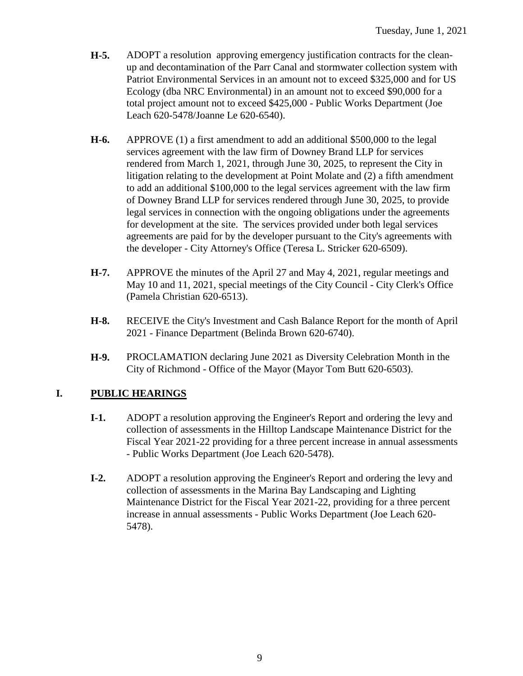- **H-5.** ADOPT a resolution approving emergency justification contracts for the cleanup and decontamination of the Parr Canal and stormwater collection system with Patriot Environmental Services in an amount not to exceed \$325,000 and for US Ecology (dba NRC Environmental) in an amount not to exceed \$90,000 for a total project amount not to exceed \$425,000 - Public Works Department (Joe Leach 620-5478/Joanne Le 620-6540).
- **H-6.** APPROVE (1) a first amendment to add an additional \$500,000 to the legal services agreement with the law firm of Downey Brand LLP for services rendered from March 1, 2021, through June 30, 2025, to represent the City in litigation relating to the development at Point Molate and (2) a fifth amendment to add an additional \$100,000 to the legal services agreement with the law firm of Downey Brand LLP for services rendered through June 30, 2025, to provide legal services in connection with the ongoing obligations under the agreements for development at the site. The services provided under both legal services agreements are paid for by the developer pursuant to the City's agreements with the developer - City Attorney's Office (Teresa L. Stricker 620-6509).
- **H-7.** APPROVE the minutes of the April 27 and May 4, 2021, regular meetings and May 10 and 11, 2021, special meetings of the City Council - City Clerk's Office (Pamela Christian 620-6513).
- **H-8.** RECEIVE the City's Investment and Cash Balance Report for the month of April 2021 - Finance Department (Belinda Brown 620-6740).
- **H-9.** PROCLAMATION declaring June 2021 as Diversity Celebration Month in the City of Richmond - Office of the Mayor (Mayor Tom Butt 620-6503).

# **I. PUBLIC HEARINGS**

- **I-1.** ADOPT a resolution approving the Engineer's Report and ordering the levy and collection of assessments in the Hilltop Landscape Maintenance District for the Fiscal Year 2021-22 providing for a three percent increase in annual assessments - Public Works Department (Joe Leach 620-5478).
- **I-2.** ADOPT a resolution approving the Engineer's Report and ordering the levy and collection of assessments in the Marina Bay Landscaping and Lighting Maintenance District for the Fiscal Year 2021-22, providing for a three percent increase in annual assessments - Public Works Department (Joe Leach 620- 5478).